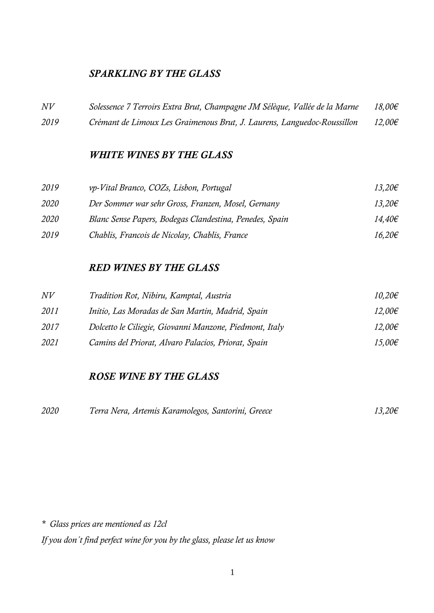# *SPARKLING BY THE GLASS*

| N V  | Solessence 7 Terroirs Extra Brut, Champagne JM Sélèque, Vallée de la Marne | $18,00 \in$ |
|------|----------------------------------------------------------------------------|-------------|
| 2019 | Crémant de Limoux Les Graimenous Brut, J. Laurens, Languedoc-Roussillon    | $12,00 \in$ |

#### *WHITE WINES BY THE GLASS*

| 2019        | vp-Vital Branco, COZs, Lisbon, Portugal                 | $13,20 \in$ |
|-------------|---------------------------------------------------------|-------------|
| 2020        | Der Sommer war sehr Gross, Franzen, Mosel, Gernany      | $13,20 \in$ |
| <i>2020</i> | Blanc Sense Papers, Bodegas Clandestina, Penedes, Spain | 14,40€      |
| 2019        | Chablis, Francois de Nicolay, Chablis, France           | $16,20 \in$ |

#### *RED WINES BY THE GLASS*

| N V  | Tradition Rot, Nibiru, Kamptal, Austria                 | $10,20 \in$      |
|------|---------------------------------------------------------|------------------|
| 2011 | Initio, Las Moradas de San Martin, Madrid, Spain        | 12,00€           |
| 2017 | Dolcetto le Ciliegie, Giovanni Manzone, Piedmont, Italy | $12,00 \in$      |
| 2021 | Camins del Priorat, Alvaro Palacios, Priorat, Spain     | 15,00 $\epsilon$ |

## *ROSE WINE BY THE GLASS*

| 2020 | Terra Nera, Artemis Karamolegos, Santorini, Greece | $13,20 \in$ |
|------|----------------------------------------------------|-------------|
|------|----------------------------------------------------|-------------|

*\* Glass prices are mentioned as 12cl*

*If you don´t find perfect wine for you by the glass, please let us know*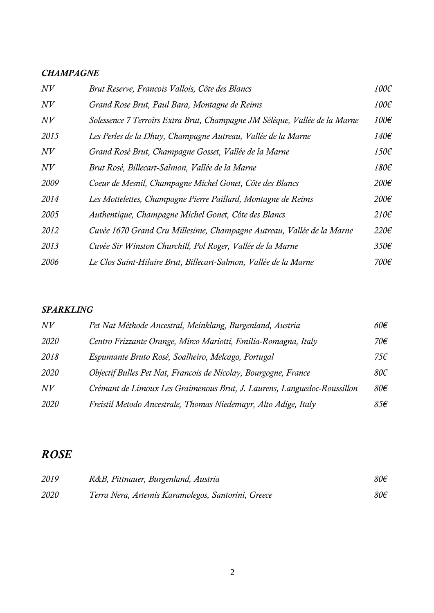## *CHAMPAGNE*

| N V  | Brut Reserve, Francois Vallois, Côte des Blancs                            | 100€             |
|------|----------------------------------------------------------------------------|------------------|
| N V  | Grand Rose Brut, Paul Bara, Montagne de Reims                              | 100€             |
| N V  | Solessence 7 Terroirs Extra Brut, Champagne JM Sélèque, Vallée de la Marne | 100€             |
| 2015 | Les Perles de la Dhuy, Champagne Autreau, Vallée de la Marne               | 140€             |
| N V  | Grand Rosé Brut, Champagne Gosset, Vallée de la Marne                      | 150€             |
| N V  | Brut Rosé, Billecart-Salmon, Vallée de la Marne                            | 180€             |
| 2009 | Coeur de Mesnil, Champagne Michel Gonet, Côte des Blancs                   | 200€             |
| 2014 | Les Mottelettes, Champagne Pierre Paillard, Montagne de Reims              | 200€             |
| 2005 | Authentique, Champagne Michel Gonet, Côte des Blancs                       | $210 \epsilon$   |
| 2012 | Cuvée 1670 Grand Cru Millesime, Champagne Autreau, Vallée de la Marne      | $220 \epsilon$   |
| 2013 | Cuvée Sir Winston Churchill, Pol Roger, Vallée de la Marne                 | 350 <sup>ε</sup> |
| 2006 | Le Clos Saint-Hilaire Brut, Billecart-Salmon, Vallée de la Marne           | 700€             |

#### *SPARKLING*

| N V  | Pet Nat Méthode Ancestral, Meinklang, Burgenland, Austria               | $60 \epsilon$   |
|------|-------------------------------------------------------------------------|-----------------|
| 2020 | Centro Frizzante Orange, Mirco Mariotti, Emilia-Romagna, Italy          | 70€             |
| 2018 | Espumante Bruto Rosé, Soalheiro, Melcago, Portugal                      | 75€             |
| 2020 | Objectif Bulles Pet Nat, Francois de Nicolay, Bourgogne, France         | 80 <sup>ε</sup> |
| N V  | Crémant de Limoux Les Graimenous Brut, J. Laurens, Languedoc-Roussillon | 80 <sup>2</sup> |
| 2020 | Freistil Metodo Ancestrale, Thomas Niedemayr, Alto Adige, Italy         | 85€             |

# *ROSE*

| 2019 | R&B, Pittnauer, Burgenland, Austria                | 80 <sup>2</sup> |
|------|----------------------------------------------------|-----------------|
| 2020 | Terra Nera, Artemis Karamolegos, Santorini, Greece | 80€             |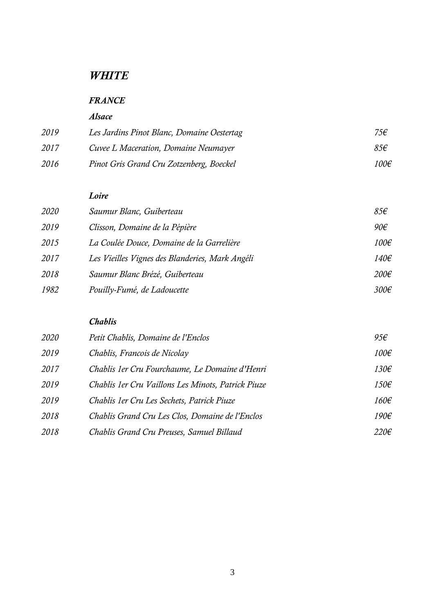# *WHITE*

## *FRANCE*

### *Alsace*

| 2019 | Les Jardins Pinot Blanc, Domaine Oestertag | 75€  |
|------|--------------------------------------------|------|
| 2017 | Cuvee L Maceration, Domaine Neumayer       | 85€  |
| 2016 | Pinot Gris Grand Cru Zotzenberg, Boeckel   | 100€ |

#### *Loire*

| 2020 | Saumur Blanc, Guiberteau                        | 85f             |
|------|-------------------------------------------------|-----------------|
| 2019 | Clisson, Domaine de la Pépière                  | 90 <sup>2</sup> |
| 2015 | La Coulée Douce, Domaine de la Garrelière       | 100€            |
| 2017 | Les Vieilles Vignes des Blanderies, Mark Angéli | 140€            |
| 2018 | Saumur Blanc Brézé, Guiberteau                  | $200 \epsilon$  |
| 1982 | Pouilly-Fumé, de Ladoucette                     | 300€            |

### *Chablis*

| 2020 | Petit Chablis, Domaine de l'Enclos                 | 95f            |
|------|----------------------------------------------------|----------------|
| 2019 | Chablis, Francois de Nicolay                       | 100€           |
| 2017 | Chablis 1er Cru Fourchaume, Le Domaine d'Henri     | 130€           |
| 2019 | Chablis 1er Cru Vaillons Les Minots, Patrick Piuze | 150€           |
| 2019 | Chablis 1er Cru Les Sechets, Patrick Piuze         | 160€           |
| 2018 | Chablis Grand Cru Les Clos, Domaine de l'Enclos    | 190€           |
| 2018 | Chablis Grand Cru Preuses, Samuel Billaud          | $220 \epsilon$ |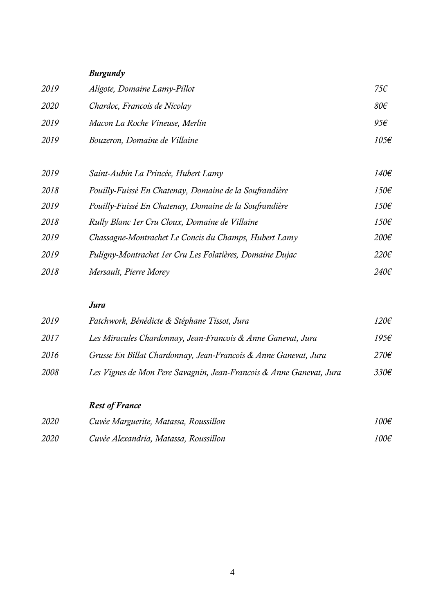# *Burgundy*

| 2019        | Aligote, Domaine Lamy-Pillot   | 75€             |
|-------------|--------------------------------|-----------------|
| <i>2020</i> | Chardoc, Francois de Nicolay   | 80 <sup>ε</sup> |
| 2019        | Macon La Roche Vineuse, Merlin | 95€             |
| 2019        | Bouzeron, Domaine de Villaine  | 105€            |

| 2019 | Saint-Aubin La Princée, Hubert Lamy                      | 140€             |
|------|----------------------------------------------------------|------------------|
| 2018 | Pouilly-Fuissé En Chatenay, Domaine de la Soufrandière   | 150€             |
| 2019 | Pouilly-Fuissé En Chatenay, Domaine de la Soufrandière   | 150€             |
| 2018 | Rully Blanc 1er Cru Cloux, Domaine de Villaine           | 150€             |
| 2019 | Chassagne-Montrachet Le Concis du Champs, Hubert Lamy    | $200 \epsilon$   |
| 2019 | Puligny-Montrachet 1er Cru Les Folatières, Domaine Dujac | $220 \epsilon$   |
| 2018 | Mersault, Pierre Morey                                   | 240 <sup>2</sup> |

## *Jura*

| 2019 | Patchwork, Bénédicte & Stéphane Tissot, Jura                        | $120 \epsilon$ |
|------|---------------------------------------------------------------------|----------------|
| 2017 | Les Miracules Chardonnay, Jean-Francois & Anne Ganevat, Jura        | 195f           |
| 2016 | Grusse En Billat Chardonnay, Jean-Francois & Anne Ganevat, Jura     | $270 \epsilon$ |
| 2008 | Les Vignes de Mon Pere Savagnin, Jean-Francois & Anne Ganevat, Jura | $330\epsilon$  |

*Rest of France*

| <i>2020</i> | Cuvée Marguerite, Matassa, Roussillon | 100€ |
|-------------|---------------------------------------|------|
| <i>2020</i> | Cuvée Alexandria, Matassa, Roussillon | 100€ |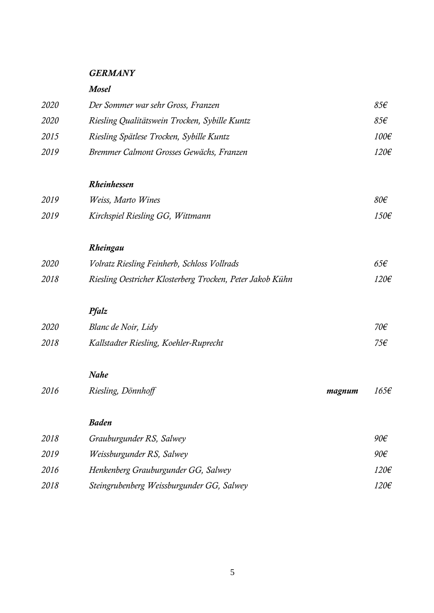### *GERMANY*

#### *Mosel*

| 2020 | Der Sommer war sehr Gross, Franzen            | $85\epsilon$ |
|------|-----------------------------------------------|--------------|
| 2020 | Riesling Qualitätswein Trocken, Sybille Kuntz | 85f          |
| 2015 | Riesling Spätlese Trocken, Sybille Kuntz      | 100€         |
| 2019 | Bremmer Calmont Grosses Gewächs, Franzen      | 120€         |
|      |                                               |              |
|      |                                               |              |

# *Rheinhessen*

| 2019 | Weiss, Marto Wines               | $80 \epsilon$ |
|------|----------------------------------|---------------|
| 2019 | Kirchspiel Riesling GG, Wittmann | 150€          |

# *Rheingau*

| 2020 | Volratz Riesling Feinherb, Schloss Vollrads               | $65 \epsilon$ |
|------|-----------------------------------------------------------|---------------|
| 2018 | Riesling Oestricher Klosterberg Trocken, Peter Jakob Kühn | 120€          |

# *Pfalz*

| 2020 | Blanc de Noir, Lidy                    | 70€ |
|------|----------------------------------------|-----|
| 2018 | Kallstadter Riesling, Koehler-Ruprecht | 75€ |

## *Nahe*

| 2016 | Riesling, Dönnhoff | magnum | $165 \epsilon$ |
|------|--------------------|--------|----------------|
|      |                    |        |                |

### *Baden*

| 2018 | Grauburgunder RS, Salwey                  | 90€  |
|------|-------------------------------------------|------|
| 2019 | Weissburgunder RS, Salwey                 | 90€  |
| 2016 | Henkenberg Grauburgunder GG, Salwey       | 120€ |
| 2018 | Steingrubenberg Weissburgunder GG, Salwey | 120€ |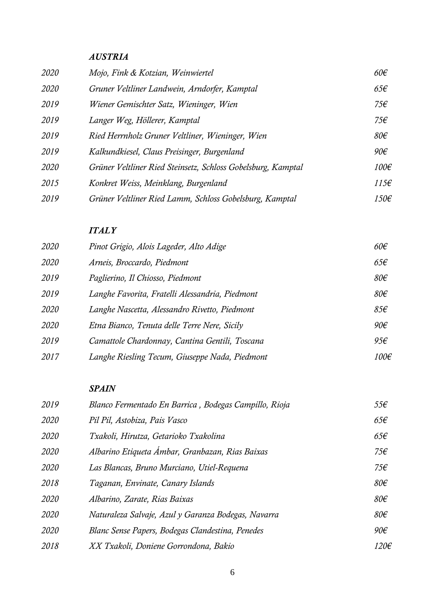## *AUSTRIA*

| 2020 | Mojo, Fink & Kotzian, Weinwiertel                            | $60 \epsilon$   |
|------|--------------------------------------------------------------|-----------------|
| 2020 | Gruner Veltliner Landwein, Arndorfer, Kamptal                | $65 \epsilon$   |
| 2019 | Wiener Gemischter Satz, Wieninger, Wien                      | 75€             |
| 2019 | Langer Weg, Höllerer, Kamptal                                | 75€             |
| 2019 | Ried Herrnholz Gruner Veltliner, Wieninger, Wien             | $80 \epsilon$   |
| 2019 | Kalkundkiesel, Claus Preisinger, Burgenland                  | 90 <sup>2</sup> |
| 2020 | Grüner Veltliner Ried Steinsetz, Schloss Gobelsburg, Kamptal | 100€            |
| 2015 | Konkret Weiss, Meinklang, Burgenland                         | $115 \epsilon$  |
| 2019 | Grüner Veltliner Ried Lamm, Schloss Gobelsburg, Kamptal      | 150€            |

#### *ITALY*

| 2020 | Pinot Grigio, Alois Lageder, Alto Adige         | $60 \epsilon$   |
|------|-------------------------------------------------|-----------------|
| 2020 | Arneis, Broccardo, Piedmont                     | $65 \epsilon$   |
| 2019 | Paglierino, Il Chiosso, Piedmont                | $80 \epsilon$   |
| 2019 | Langhe Favorita, Fratelli Alessandria, Piedmont | 80 <sup>ε</sup> |
| 2020 | Langhe Nascetta, Alessandro Rivetto, Piedmont   | 85f             |
| 2020 | Etna Bianco, Tenuta delle Terre Nere, Sicily    | 90 <sup>2</sup> |
| 2019 | Camattole Chardonnay, Cantina Gentili, Toscana  | $95\epsilon$    |
| 2017 | Langhe Riesling Tecum, Giuseppe Nada, Piedmont  | 100€            |

## *SPAIN*

| 2019 | Blanco Fermentado En Barrica, Bodegas Campillo, Rioja | 55f             |
|------|-------------------------------------------------------|-----------------|
| 2020 | Pil Pil, Astobiza, Pais Vasco                         | $65 \epsilon$   |
| 2020 | Txakoli, Hirutza, Getarioko Txakolina                 | $65 \epsilon$   |
| 2020 | Albarino Etiqueta Ámbar, Granbazan, Rias Baixas       | 75f             |
| 2020 | Las Blancas, Bruno Murciano, Utiel-Requena            | 75€             |
| 2018 | Taganan, Envinate, Canary Islands                     | 80 <sup>ε</sup> |
| 2020 | Albarino, Zarate, Rias Baixas                         | 80 <sup>ε</sup> |
| 2020 | Naturaleza Salvaje, Azul y Garanza Bodegas, Navarra   | 80 <sup>ε</sup> |
| 2020 | Blanc Sense Papers, Bodegas Clandestina, Penedes      | 90 <sup>ε</sup> |
| 2018 | XX Txakoli, Doniene Gorrondona, Bakio                 | 120€            |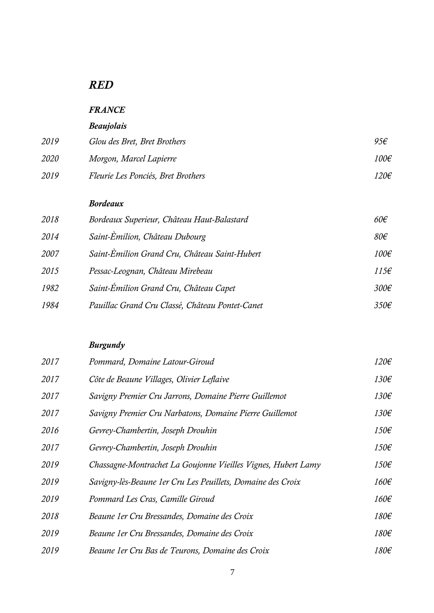# *RED*

# *FRANCE*

# *Beaujolais*

| 2019 | Glou des Bret, Bret Brothers       | 95€  |
|------|------------------------------------|------|
| 2020 | Morgon, Marcel Lapierre            | 100€ |
| 2019 | Fleurie Les Ponciés, Bret Brothers | 120€ |

#### *Bordeaux*

| 2018 | Bordeaux Superieur, Château Haut-Balastard      | $60 \epsilon$    |
|------|-------------------------------------------------|------------------|
| 2014 | Saint-Èmilion, Château Dubourg                  | 80 <sup>ε</sup>  |
| 2007 | Saint-Èmilion Grand Cru, Château Saint-Hubert   | 100€             |
| 2015 | Pessac-Leognan, Château Mirebeau                | 115f             |
| 1982 | Saint-Émilion Grand Cru, Château Capet          | 300 <sup>ε</sup> |
| 1984 | Pauillac Grand Cru Classé, Château Pontet-Canet | 350 <sup>2</sup> |

# *Burgundy*

| 2017 | Pommard, Domaine Latour-Giroud                                | 120€ |
|------|---------------------------------------------------------------|------|
| 2017 | Côte de Beaune Villages, Olivier Leflaive                     | 130€ |
| 2017 | Savigny Premier Cru Jarrons, Domaine Pierre Guillemot         | 130€ |
| 2017 | Savigny Premier Cru Narbatons, Domaine Pierre Guillemot       | 130€ |
| 2016 | Gevrey-Chambertin, Joseph Drouhin                             | 150€ |
| 2017 | Gevrey-Chambertin, Joseph Drouhin                             | 150€ |
| 2019 | Chassagne-Montrachet La Goujonne Vieilles Vignes, Hubert Lamy | 150€ |
| 2019 | Savigny-lès-Beaune 1 er Cru Les Peuillets, Domaine des Croix  | 160€ |
| 2019 | Pommard Les Cras, Camille Giroud                              | 160€ |
| 2018 | Beaune 1er Cru Bressandes, Domaine des Croix                  | 180€ |
| 2019 | Beaune 1er Cru Bressandes, Domaine des Croix                  | 180€ |
| 2019 | Beaune 1er Cru Bas de Teurons, Domaine des Croix              | 180€ |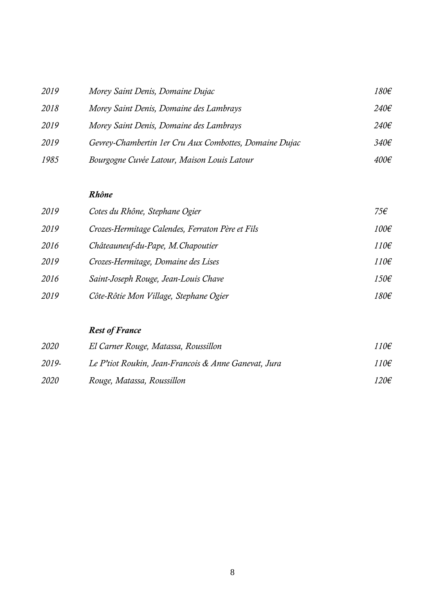| 2019 | Morey Saint Denis, Domaine Dujac                       | 180€             |
|------|--------------------------------------------------------|------------------|
| 2018 | Morey Saint Denis, Domaine des Lambrays                | $240\epsilon$    |
| 2019 | Morey Saint Denis, Domaine des Lambrays                | $240\epsilon$    |
| 2019 | Gevrey-Chambertin 1er Cru Aux Combottes, Domaine Dujac | 340 <sup>2</sup> |
| 1985 | Bourgogne Cuvée Latour, Maison Louis Latour            | $400 \epsilon$   |

#### *Rhône*

| 2019 | Cotes du Rhône, Stephane Ogier                   | 75€            |
|------|--------------------------------------------------|----------------|
| 2019 | Crozes-Hermitage Calendes, Ferraton Père et Fils | $100 \epsilon$ |
| 2016 | Châteauneuf-du-Pape, M. Chapoutier               | $110 \epsilon$ |
| 2019 | Crozes-Hermitage, Domaine des Lises              | $110 \epsilon$ |
| 2016 | Saint-Joseph Rouge, Jean-Louis Chave             | $150 \epsilon$ |
| 2019 | Côte-Rôtie Mon Village, Stephane Ogier           | 180€           |

# *Rest of France*

| 2020        | El Carner Rouge, Matassa, Roussillon                 | 110€ |  |
|-------------|------------------------------------------------------|------|--|
| 2019-       | Le P'tiot Roukin, Jean-Francois & Anne Ganevat, Jura | 110€ |  |
| <i>2020</i> | Rouge, Matassa, Roussillon                           | 120€ |  |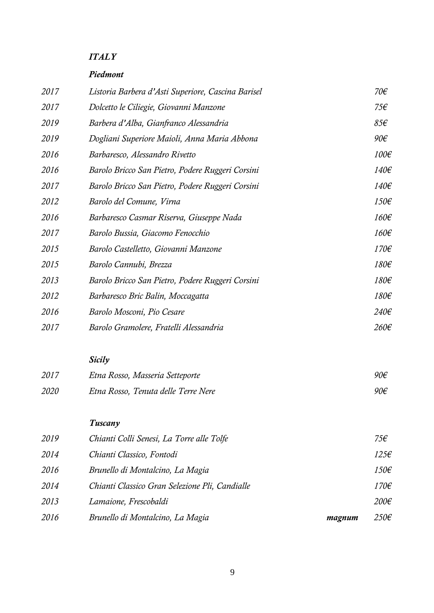## *ITALY*

#### *Piedmont*

| 2017 | Listoria Barbera d'Asti Superiore, Cascina Barisel | 70€             |
|------|----------------------------------------------------|-----------------|
| 2017 | Dolcetto le Ciliegie, Giovanni Manzone             | 75€             |
| 2019 | Barbera d'Alba, Gianfranco Alessandria             | 85f             |
| 2019 | Dogliani Superiore Maioli, Anna Maria Abbona       | 90 <sup>2</sup> |
| 2016 | Barbaresco, Alessandro Rivetto                     | 100€            |
| 2016 | Barolo Bricco San Pietro, Podere Ruggeri Corsini   | 140€            |
| 2017 | Barolo Bricco San Pietro, Podere Ruggeri Corsini   | 140€            |
| 2012 | Barolo del Comune, Virna                           | 150€            |
| 2016 | Barbaresco Casmar Riserva, Giuseppe Nada           | 160€            |
| 2017 | Barolo Bussia, Giacomo Fenocchio                   | 160€            |
| 2015 | Barolo Castelletto, Giovanni Manzone               | 170€            |
| 2015 | Barolo Cannubi, Brezza                             | 180€            |
| 2013 | Barolo Bricco San Pietro, Podere Ruggeri Corsini   | 180€            |
| 2012 | Barbaresco Bric Balin, Moccagatta                  | 180€            |
| 2016 | Barolo Mosconi, Pio Cesare                         | 240€            |
| 2017 | Barolo Gramolere, Fratelli Alessandria             | 260€            |
|      | Sicily                                             |                 |
| 2017 | Etna Rosso, Masseria Setteporte                    | 90€             |
| 2020 | Etna Rosso, Tenuta delle Terre Nere                | 90€             |
|      | Tuscany                                            |                 |
| 2019 | Chianti Colli Senesi, La Torre alle Tolfe          | 75€             |
| 2014 | Chianti Classico, Fontodi                          | $125\epsilon$   |
| 2016 | Brunello di Montalcino, La Magia                   | 150€            |
| 2014 | Chianti Classico Gran Selezione Pli, Candialle     | 170€            |
| 2013 | Lamaione, Frescobaldi                              | 200€            |
| 2016 | Brunello di Montalcino, La Magia<br>magnum         | $250 \epsilon$  |
|      |                                                    |                 |